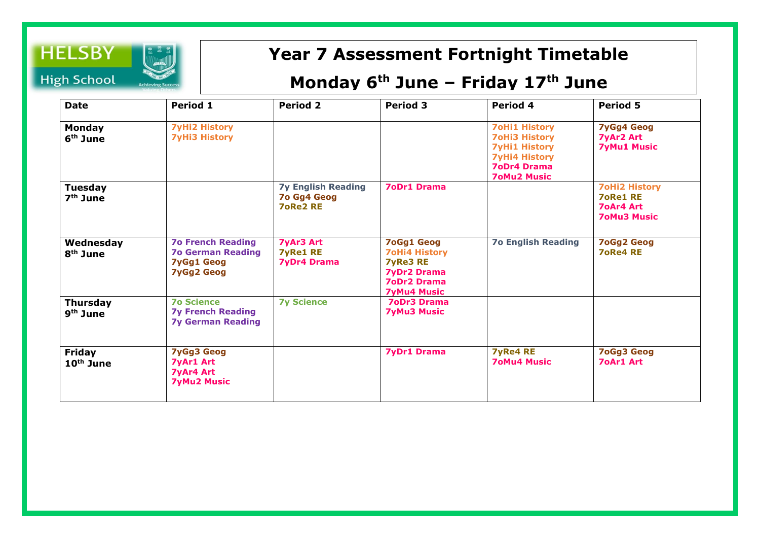

## **Year 7 Assessment Fortnight Timetable**

## **Monday 6 th June – Friday 17th June**

| <b>Date</b>                             | Period 1                                                                                       | <b>Period 2</b>                                             | <b>Period 3</b>                                                                                                                | Period 4                                                                                                                                 | <b>Period 5</b>                                                                   |
|-----------------------------------------|------------------------------------------------------------------------------------------------|-------------------------------------------------------------|--------------------------------------------------------------------------------------------------------------------------------|------------------------------------------------------------------------------------------------------------------------------------------|-----------------------------------------------------------------------------------|
| <b>Monday</b><br>6 <sup>th</sup> June   | <b>7yHi2 History</b><br><b>7yHi3 History</b>                                                   |                                                             |                                                                                                                                | <b>7oHi1 History</b><br><b>7oHi3 History</b><br><b>7yHi1 History</b><br><b>7yHi4 History</b><br><b>7oDr4 Drama</b><br><b>70Mu2 Music</b> | <b>7yGg4 Geog</b><br><b>7yAr2 Art</b><br><b>7yMu1 Music</b>                       |
| <b>Tuesday</b><br>$7th$ June            |                                                                                                | <b>7y English Reading</b><br>7o Gg4 Geog<br><b>7oRe2 RE</b> | <b>7oDr1 Drama</b>                                                                                                             |                                                                                                                                          | <b>7oHi2 History</b><br><b>7oRe1 RE</b><br><b>70Ar4 Art</b><br><b>70Mu3 Music</b> |
| Wednesday<br>8 <sup>th</sup> June       | <b>70 French Reading</b><br><b>7o German Reading</b><br><b>7yGg1 Geog</b><br><b>7yGg2 Geog</b> | <b>7yAr3 Art</b><br><b>7yRe1 RE</b><br><b>7yDr4 Drama</b>   | <b>7oGg1 Geog</b><br><b>7oHi4 History</b><br><b>7yRe3 RE</b><br><b>7yDr2 Drama</b><br><b>7oDr2 Drama</b><br><b>7yMu4 Music</b> | <b>70 English Reading</b>                                                                                                                | <b>7oGg2 Geog</b><br><b>7oRe4 RE</b>                                              |
| <b>Thursday</b><br>9 <sup>th</sup> June | <b>70 Science</b><br><b>7y French Reading</b><br><b>7y German Reading</b>                      | <b>7y Science</b>                                           | <b>7oDr3 Drama</b><br><b>7yMu3 Music</b>                                                                                       |                                                                                                                                          |                                                                                   |
| <b>Friday</b><br>$10th$ June            | <b>7yGg3 Geog</b><br><b>7yAr1 Art</b><br><b>7yAr4 Art</b><br><b>7yMu2 Music</b>                |                                                             | <b>7yDr1 Drama</b>                                                                                                             | <b>7yRe4 RE</b><br><b>70Mu4 Music</b>                                                                                                    | <b>7oGg3 Geog</b><br><b>70Ar1 Art</b>                                             |